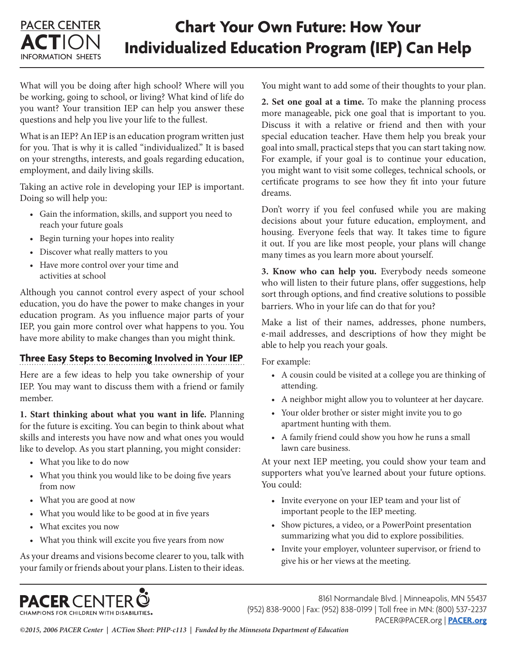#### PACER CENTER **ACT**ION INFORMATION SHEETS **Chart Your Own Future: How Your Individualized Education Program (IEP) Can Help**

What will you be doing after high school? Where will you be working, going to school, or living? What kind of life do you want? Your transition IEP can help you answer these questions and help you live your life to the fullest.

What is an IEP? An IEP is an education program written just for you. That is why it is called "individualized." It is based on your strengths, interests, and goals regarding education, employment, and daily living skills.

Taking an active role in developing your IEP is important. Doing so will help you:

- Gain the information, skills, and support you need to reach your future goals
- Begin turning your hopes into reality
- Discover what really matters to you
- Have more control over your time and activities at school

Although you cannot control every aspect of your school education, you do have the power to make changes in your education program. As you influence major parts of your IEP, you gain more control over what happens to you. You have more ability to make changes than you might think.

# **Three Easy Steps to Becoming Involved in Your IEP**

Here are a few ideas to help you take ownership of your IEP. You may want to discuss them with a friend or family member.

**1. Start thinking about what you want in life.** Planning for the future is exciting. You can begin to think about what skills and interests you have now and what ones you would like to develop. As you start planning, you might consider:

- What you like to do now
- What you think you would like to be doing five years from now
- What you are good at now
- What you would like to be good at in five years
- What excites you now
- What you think will excite you five years from now

As your dreams and visions become clearer to you, talk with your family or friends about your plans. Listen to their ideas. You might want to add some of their thoughts to your plan.

**2. Set one goal at a time.** To make the planning process more manageable, pick one goal that is important to you. Discuss it with a relative or friend and then with your special education teacher. Have them help you break your goal into small, practical steps that you can start taking now. For example, if your goal is to continue your education, you might want to visit some colleges, technical schools, or certificate programs to see how they fit into your future dreams.

Don't worry if you feel confused while you are making decisions about your future education, employment, and housing. Everyone feels that way. It takes time to figure it out. If you are like most people, your plans will change many times as you learn more about yourself.

**3. Know who can help you.** Everybody needs someone who will listen to their future plans, offer suggestions, help sort through options, and find creative solutions to possible barriers. Who in your life can do that for you?

Make a list of their names, addresses, phone numbers, e-mail addresses, and descriptions of how they might be able to help you reach your goals.

For example:

- A cousin could be visited at a college you are thinking of attending.
- A neighbor might allow you to volunteer at her daycare.
- Your older brother or sister might invite you to go apartment hunting with them.
- A family friend could show you how he runs a small lawn care business.

At your next IEP meeting, you could show your team and supporters what you've learned about your future options. You could:

- Invite everyone on your IEP team and your list of important people to the IEP meeting.
- Show pictures, a video, or a PowerPoint presentation summarizing what you did to explore possibilities.
- Invite your employer, volunteer supervisor, or friend to give his or her views at the meeting.



8161 Normandale Blvd. | Minneapolis, MN 55437 (952) 838-9000 | Fax: (952) 838-0199 | Toll free in MN: (800) 537-2237 PACER@PACER.org | **[PACER.org](http://www.pacer.org)**

*©2015, 2006 PACER Center | ACTion Sheet: PHP-c113 | Funded by the Minnesota Department of Education*